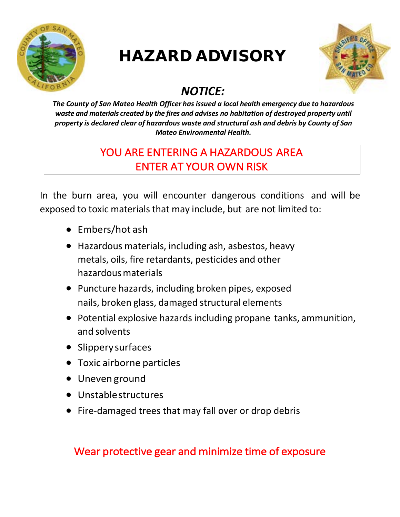

## HAZARD ADVISORY



## *NOTICE:*

*The County of San Mateo Health Officer has issued a local health emergency due to hazardous waste and materials created by the fires and advises no habitation of destroyed property until property is declared clear of hazardous waste and structural ash and debris by County of San Mateo Environmental Health.*

## YOU ARE ENTERING A HAZARDOUS AREA ENTER AT YOUR OWN RISK

In the burn area, you will encounter dangerous conditions and will be exposed to toxic materials that may include, but are not limited to:

- Embers/hot ash
- Hazardous materials, including ash, asbestos, heavy metals, oils, fire retardants, pesticides and other hazardousmaterials
- Puncture hazards, including broken pipes, exposed nails, broken glass, damaged structural elements
- Potential explosive hazards including propane tanks, ammunition, and solvents
- Slipperysurfaces
- Toxic airborne particles
- Uneven ground
- Unstablestructures
- Fire-damaged trees that may fall over or drop debris

### Wear protective gear and minimize time of exposure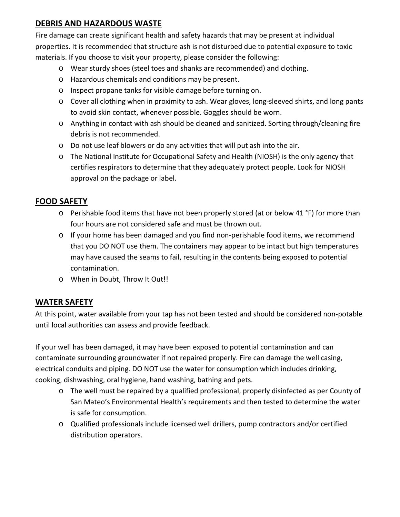#### **DEBRIS AND HAZARDOUS WASTE**

Fire damage can create significant health and safety hazards that may be present at individual properties. It is recommended that structure ash is not disturbed due to potential exposure to toxic materials. If you choose to visit your property, please consider the following:

- o Wear sturdy shoes (steel toes and shanks are recommended) and clothing.
- o Hazardous chemicals and conditions may be present.
- o Inspect propane tanks for visible damage before turning on.
- o Cover all clothing when in proximity to ash. Wear gloves, long-sleeved shirts, and long pants to avoid skin contact, whenever possible. Goggles should be worn.
- o Anything in contact with ash should be cleaned and sanitized. Sorting through/cleaning fire debris is not recommended.
- o Do not use leaf blowers or do any activities that will put ash into the air.
- o The National Institute for Occupational Safety and Health (NIOSH) is the only agency that certifies respirators to determine that they adequately protect people. Look for NIOSH approval on the package or label.

#### **FOOD SAFETY**

- $\circ$  Perishable food items that have not been properly stored (at or below 41 °F) for more than four hours are not considered safe and must be thrown out.
- $\circ$  If your home has been damaged and you find non-perishable food items, we recommend that you DO NOT use them. The containers may appear to be intact but high temperatures may have caused the seams to fail, resulting in the contents being exposed to potential contamination.
- o When in Doubt, Throw It Out!!

#### **WATER SAFETY**

At this point, water available from your tap has not been tested and should be considered non-potable until local authorities can assess and provide feedback.

If your well has been damaged, it may have been exposed to potential contamination and can contaminate surrounding groundwater if not repaired properly. Fire can damage the well casing, electrical conduits and piping. DO NOT use the water for consumption which includes drinking, cooking, dishwashing, oral hygiene, hand washing, bathing and pets.

- o The well must be repaired by a qualified professional, properly disinfected as per County of San Mateo's Environmental Health's requirements and then tested to determine the water is safe for consumption.
- o Qualified professionals include licensed well drillers, pump contractors and/or certified distribution operators.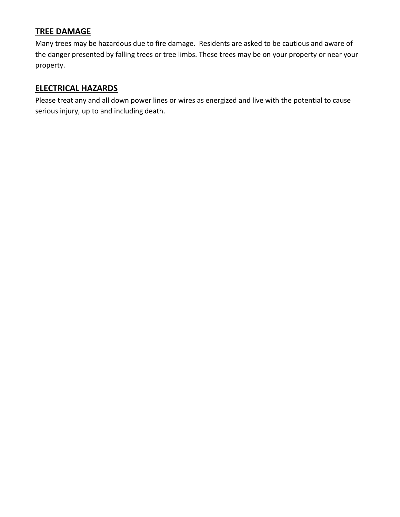#### **TREE DAMAGE**

Many trees may be hazardous due to fire damage. Residents are asked to be cautious and aware of the danger presented by falling trees or tree limbs. These trees may be on your property or near your property.

#### **ELECTRICAL HAZARDS**

Please treat any and all down power lines or wires as energized and live with the potential to cause serious injury, up to and including death.